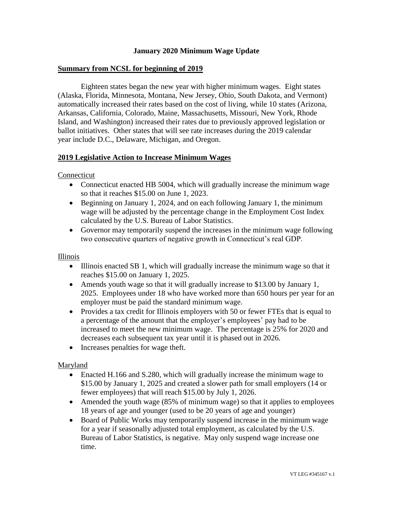## **January 2020 Minimum Wage Update**

### **Summary from NCSL for beginning of 2019**

Eighteen states began the new year with higher minimum wages. Eight states (Alaska, Florida, Minnesota, Montana, New Jersey, Ohio, South Dakota, and Vermont) automatically increased their rates based on the cost of living, while 10 states (Arizona, Arkansas, California, Colorado, Maine, Massachusetts, Missouri, New York, Rhode Island, and Washington) increased their rates due to previously approved legislation or ballot initiatives. Other states that will see rate increases during the 2019 calendar year include D.C., Delaware, Michigan, and Oregon.

## **2019 Legislative Action to Increase Minimum Wages**

#### Connecticut

- Connecticut enacted HB 5004, which will gradually increase the minimum wage so that it reaches \$15.00 on June 1, 2023.
- Beginning on January 1, 2024, and on each following January 1, the minimum wage will be adjusted by the percentage change in the Employment Cost Index calculated by the U.S. Bureau of Labor Statistics.
- Governor may temporarily suspend the increases in the minimum wage following two consecutive quarters of negative growth in Connecticut's real GDP.

#### Illinois

- Illinois enacted SB 1, which will gradually increase the minimum wage so that it reaches \$15.00 on January 1, 2025.
- Amends youth wage so that it will gradually increase to \$13.00 by January 1, 2025. Employees under 18 who have worked more than 650 hours per year for an employer must be paid the standard minimum wage.
- Provides a tax credit for Illinois employers with 50 or fewer FTEs that is equal to a percentage of the amount that the employer's employees' pay had to be increased to meet the new minimum wage. The percentage is 25% for 2020 and decreases each subsequent tax year until it is phased out in 2026.
- Increases penalties for wage theft.

## Maryland

- Enacted H.166 and S.280, which will gradually increase the minimum wage to \$15.00 by January 1, 2025 and created a slower path for small employers (14 or fewer employees) that will reach \$15.00 by July 1, 2026.
- Amended the youth wage (85% of minimum wage) so that it applies to employees 18 years of age and younger (used to be 20 years of age and younger)
- Board of Public Works may temporarily suspend increase in the minimum wage for a year if seasonally adjusted total employment, as calculated by the U.S. Bureau of Labor Statistics, is negative. May only suspend wage increase one time.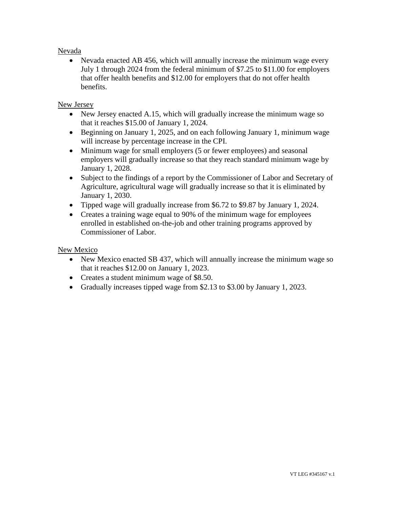## Nevada

• Nevada enacted AB 456, which will annually increase the minimum wage every July 1 through 2024 from the federal minimum of \$7.25 to \$11.00 for employers that offer health benefits and \$12.00 for employers that do not offer health benefits.

# New Jersey

- New Jersey enacted A.15, which will gradually increase the minimum wage so that it reaches \$15.00 of January 1, 2024.
- Beginning on January 1, 2025, and on each following January 1, minimum wage will increase by percentage increase in the CPI.
- Minimum wage for small employers (5 or fewer employees) and seasonal employers will gradually increase so that they reach standard minimum wage by January 1, 2028.
- Subject to the findings of a report by the Commissioner of Labor and Secretary of Agriculture, agricultural wage will gradually increase so that it is eliminated by January 1, 2030.
- Tipped wage will gradually increase from \$6.72 to \$9.87 by January 1, 2024.
- Creates a training wage equal to 90% of the minimum wage for employees enrolled in established on-the-job and other training programs approved by Commissioner of Labor.

## New Mexico

- New Mexico enacted SB 437, which will annually increase the minimum wage so that it reaches \$12.00 on January 1, 2023.
- Creates a student minimum wage of \$8.50.
- Gradually increases tipped wage from \$2.13 to \$3.00 by January 1, 2023.